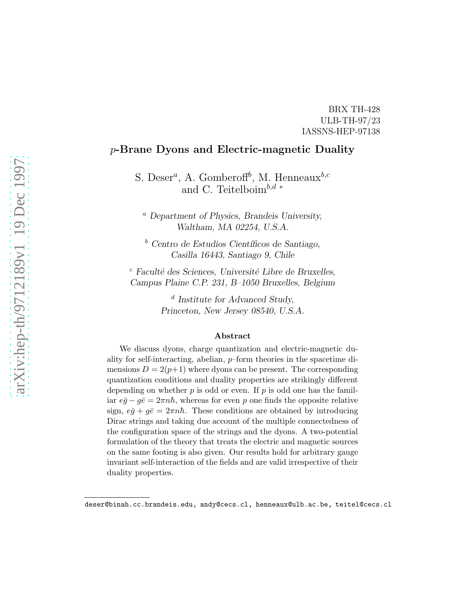#### BRX TH-428 ULB-TH-97/23 IASSNS-HEP-97138

#### p-Brane Dyons and Electric-magnetic Duality

S. Deser<sup>a</sup>, A. Gomberoff<sup>b</sup>, M. Henneaux<sup>b,c</sup> and C. Teitelboim<sup>b,d ∗</sup>

<sup>a</sup> Department of Physics, Brandeis University, Waltham, MA 02254, U.S.A.

 $\bar{b}$  Centro de Estudios Científicos de Santiago, Casilla 16443, Santiago 9, Chile

 $c$  Faculté des Sciences, Université Libre de Bruxelles, Campus Plaine C.P. 231, B–1050 Bruxelles, Belgium

> d Institute for Advanced Study, Princeton, New Jersey 08540, U.S.A.

#### Abstract

We discuss dyons, charge quantization and electric-magnetic duality for self-interacting, abelian, p–form theories in the spacetime dimensions  $D = 2(p+1)$  where dyons can be present. The corresponding quantization conditions and duality properties are strikingly different depending on whether  $p$  is odd or even. If  $p$  is odd one has the familiar  $e\bar{g} - g\bar{e} = 2\pi n\hbar$ , whereas for even p one finds the opposite relative sign,  $e\bar{g} + g\bar{e} = 2\pi n\hbar$ . These conditions are obtained by introducing Dirac strings and taking due account of the multiple connectedness of the configuration space of the strings and the dyons. A two-potential formulation of the theory that treats the electric and magnetic sources on the same footing is also given. Our results hold for arbitrary gauge invariant self-interaction of the fields and are valid irrespective of their duality properties.

deser@binah.cc.brandeis.edu, andy@cecs.cl, henneaux@ulb.ac.be, teitel@cecs.cl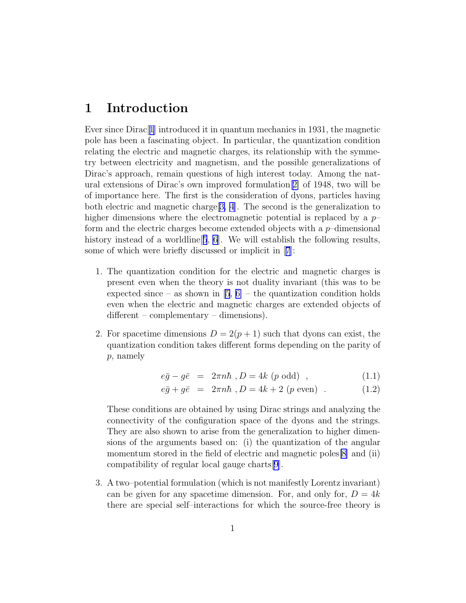### <span id="page-1-0"></span>1 Introduction

Ever since Dirac[[1](#page-30-0)] introduced it in quantum mechanics in 1931, the magnetic pole has been a fascinating object. In particular, the quantization condition relating the electric and magnetic charges, its relationship with the symmetry between electricity and magnetism, and the possible generalizations of Dirac's approach, remain questions of high interest today. Among the natural extensions of Dirac's own improved formulation[[2\]](#page-30-0) of 1948, two will be of importance here. The first is the consideration of dyons, particles having both electric and magnetic charge  $[3, 4]$  $[3, 4]$ . The second is the generalization to higher dimensions where the electromagnetic potential is replaced by a  $p$ form and the electric charges become extended objects with a  $p$ –dimensional history instead of a worldline<sup>[[5](#page-31-0)]</sup>, [6](#page-31-0). We will establish the following results, some of which were briefly discussed or implicit in[[7](#page-31-0)]:

- 1. The quantization condition for the electric and magnetic charges is present even when the theory is not duality invariant (this was to be expected since – as shown in  $[5, 6]$  $[5, 6]$  – the quantization condition holds even when the electric and magnetic charges are extended objects of different – complementary – dimensions).
- 2. For spacetime dimensions  $D = 2(p+1)$  such that dyons can exist, the quantization condition takes different forms depending on the parity of p, namely

$$
e\bar{g} - g\bar{e} = 2\pi n\hbar , D = 4k (p \text{ odd}), \qquad (1.1)
$$

$$
e\bar{g} + g\bar{e} = 2\pi n\hbar
$$
,  $D = 4k + 2$  (*p* even) . (1.2)

These conditions are obtained by using Dirac strings and analyzing the connectivity of the configuration space of the dyons and the strings. They are also shown to arise from the generalization to higher dimensions of the arguments based on: (i) the quantization of the angular momentum stored in the field of electric and magnetic poles[\[8](#page-31-0)] and (ii) compatibility of regular local gauge charts[\[9](#page-31-0)].

3. A two–potential formulation (which is not manifestly Lorentz invariant) can be given for any spacetime dimension. For, and only for,  $D = 4k$ there are special self–interactions for which the source-free theory is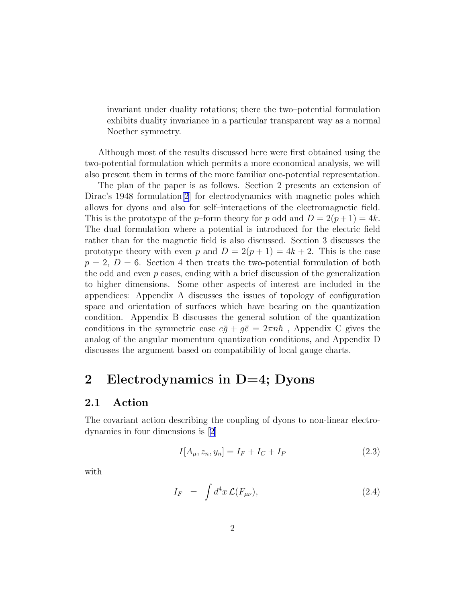<span id="page-2-0"></span>invariant under duality rotations; there the two–potential formulation exhibits duality invariance in a particular transparent way as a normal Noether symmetry.

Although most of the results discussed here were first obtained using the two-potential formulation which permits a more economical analysis, we will also present them in terms of the more familiar one-potential representation.

The plan of the paper is as follows. Section 2 presents an extension of Dirac's 1948 formulation<sup>[\[2](#page-30-0)]</sup> for electrodynamics with magnetic poles which allows for dyons and also for self–interactions of the electromagnetic field. This is the prototype of the p–form theory for p odd and  $D = 2(p+1) = 4k$ . The dual formulation where a potential is introduced for the electric field rather than for the magnetic field is also discussed. Section 3 discusses the prototype theory with even p and  $D = 2(p+1) = 4k + 2$ . This is the case  $p = 2, D = 6$ . Section 4 then treats the two-potential formulation of both the odd and even  $p$  cases, ending with a brief discussion of the generalization to higher dimensions. Some other aspects of interest are included in the appendices: Appendix A discusses the issues of topology of configuration space and orientation of surfaces which have bearing on the quantization condition. Appendix B discusses the general solution of the quantization conditions in the symmetric case  $e\bar{g} + g\bar{e} = 2\pi n\hbar$ , Appendix C gives the analog of the angular momentum quantization conditions, and Appendix D discusses the argument based on compatibility of local gauge charts.

### 2 Electrodynamics in  $D=4$ ; Dyons

#### 2.1 Action

The covariant action describing the coupling of dyons to non-linear electrodynamics in four dimensions is [\[2](#page-30-0)]

$$
I[A_{\mu}, z_n, y_n] = I_F + I_C + I_P \tag{2.3}
$$

with

$$
I_F = \int d^4x \mathcal{L}(F_{\mu\nu}), \qquad (2.4)
$$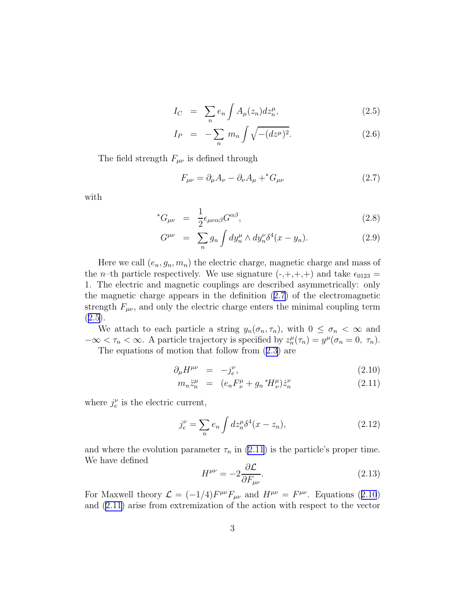$$
I_C = \sum_n e_n \int A_\mu(z_n) dz_n^\mu, \qquad (2.5)
$$

$$
I_P = -\sum_n m_n \int \sqrt{-(dz^{\mu})^2}.
$$
 (2.6)

<span id="page-3-0"></span>The field strength  $F_{\mu\nu}$  is defined through

$$
F_{\mu\nu} = \partial_{\mu}A_{\nu} - \partial_{\nu}A_{\mu} + ^{*}G_{\mu\nu}
$$
\n(2.7)

with

$$
^*G_{\mu\nu} = \frac{1}{2} \epsilon_{\mu\nu\alpha\beta} G^{\alpha\beta}, \qquad (2.8)
$$

$$
G^{\mu\nu} = \sum_{n} g_n \int dy_n^{\mu} \wedge dy_n^{\nu} \delta^4(x - y_n). \tag{2.9}
$$

Here we call  $(e_n, g_n, m_n)$  the electric charge, magnetic charge and mass of the *n*–th particle respectively. We use signature  $\left(-, +, +, +\right)$  and take  $\epsilon_{0123}$  = 1. The electric and magnetic couplings are described asymmetrically: only the magnetic charge appears in the definition (2.7) of the electromagnetic strength  $F_{\mu\nu}$ , and only the electric charge enters the minimal coupling term  $(2.5).$  $(2.5).$  $(2.5).$ 

We attach to each particle a string  $y_n(\sigma_n, \tau_n)$ , with  $0 \leq \sigma_n < \infty$  and  $-\infty < \tau_n < \infty$ . A particle trajectory is specified by  $z_n^{\mu}(\tau_n) = y^{\mu}(\sigma_n = 0, \tau_n)$ .

The equations of motion that follow from([2.3\)](#page-2-0) are

$$
\partial_{\mu}H^{\mu\nu} = -j_e^{\nu}, \qquad (2.10)
$$

$$
m_n \ddot{z}_n^{\mu} = (e_n F_{\nu}^{\mu} + g_n {}^*H_{\nu}^{\mu}) \dot{z}_n^{\nu} \tag{2.11}
$$

where  $j_e^{\nu}$  is the electric current,

$$
j_e^{\nu} = \sum_n e_n \int dz_n^{\mu} \delta^4(x - z_n), \qquad (2.12)
$$

and where the evolution parameter  $\tau_n$  in (2.11) is the particle's proper time. We have defined

$$
H^{\mu\nu} = -2 \frac{\partial \mathcal{L}}{\partial F_{\mu\nu}}.\tag{2.13}
$$

For Maxwell theory  $\mathcal{L} = (-1/4) F^{\mu\nu} F_{\mu\nu}$  and  $H^{\mu\nu} = F^{\mu\nu}$ . Equations (2.10) and (2.11) arise from extremization of the action with respect to the vector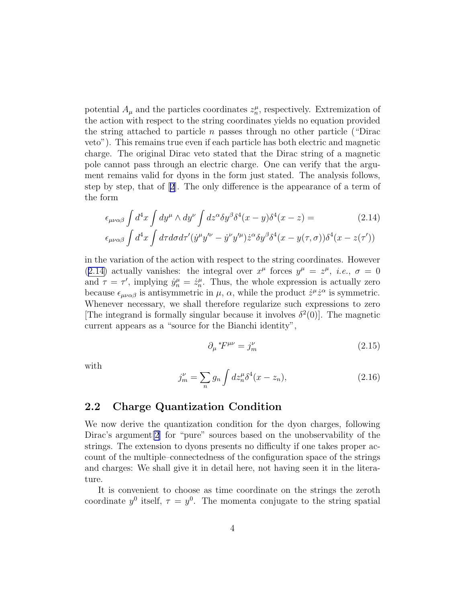<span id="page-4-0"></span>potential  $A_{\mu}$  and the particles coordinates  $z_n^{\mu}$ , respectively. Extremization of the action with respect to the string coordinates yields no equation provided the string attached to particle n passes through no other particle ("Dirac veto"). This remains true even if each particle has both electric and magnetic charge. The original Dirac veto stated that the Dirac string of a magnetic pole cannot pass through an electric charge. One can verify that the argument remains valid for dyons in the form just stated. The analysis follows, step by step, that of[[2](#page-30-0)]. The only difference is the appearance of a term of the form

$$
\epsilon_{\mu\nu\alpha\beta} \int d^4x \int dy^\mu \wedge dy^\nu \int dz^\alpha \delta y^\beta \delta^4(x-y) \delta^4(x-z) =
$$
\n
$$
\epsilon_{\mu\nu\alpha\beta} \int d^4x \int d\tau d\sigma d\tau' (y^\mu y'^\nu - \dot{y}^\nu y'^\mu) \dot{z}^\alpha \delta y^\beta \delta^4(x-y(\tau,\sigma)) \delta^4(x-z(\tau'))
$$
\n(2.14)

in the variation of the action with respect to the string coordinates. However (2.14) actually vanishes: the integral over  $x^{\mu}$  forces  $y^{\mu} = z^{\mu}$ , *i.e.*,  $\sigma = 0$ and  $\tau = \tau'$ , implying  $\dot{y}_n^{\mu} = \dot{z}_n^{\mu}$ . Thus, the whole expression is actually zero because  $\epsilon_{\mu\nu\alpha\beta}$  is antisymmetric in  $\mu$ ,  $\alpha$ , while the product  $\dot{z}^{\mu}\dot{z}^{\alpha}$  is symmetric. Whenever necessary, we shall therefore regularize such expressions to zero [The integrand is formally singular because it involves  $\delta^2(0)$ ]. The magnetic current appears as a "source for the Bianchi identity",

$$
\partial_{\mu} {}^*F^{\mu\nu} = j_m^{\nu} \tag{2.15}
$$

with

$$
j_m^{\nu} = \sum_n g_n \int dz_n^{\mu} \delta^4(x - z_n), \qquad (2.16)
$$

#### 2.2 Charge Quantization Condition

We now derive the quantization condition for the dyon charges, following Dirac's argument<sup>[\[2](#page-30-0)]</sup> for "pure" sources based on the unobservability of the strings. The extension to dyons presents no difficulty if one takes proper account of the multiple–connectedness of the configuration space of the strings and charges: We shall give it in detail here, not having seen it in the literature.

It is convenient to choose as time coordinate on the strings the zeroth coordinate  $y^0$  itself,  $\tau = y^0$ . The momenta conjugate to the string spatial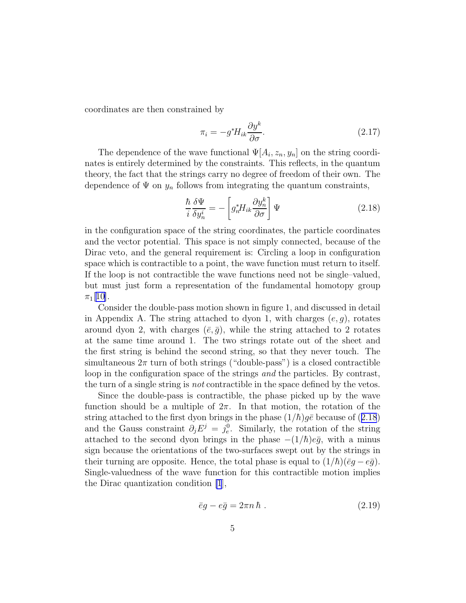<span id="page-5-0"></span>coordinates are then constrained by

$$
\pi_i = -g^* H_{ik} \frac{\partial y^k}{\partial \sigma}.
$$
\n(2.17)

The dependence of the wave functional  $\Psi[A_i, z_n, y_n]$  on the string coordinates is entirely determined by the constraints. This reflects, in the quantum theory, the fact that the strings carry no degree of freedom of their own. The dependence of  $\Psi$  on  $y_n$  follows from integrating the quantum constraints,

$$
\frac{\hbar}{i} \frac{\delta \Psi}{\delta y_n^i} = - \left[ g_n^* H_{ik} \frac{\partial y_n^k}{\partial \sigma} \right] \Psi \tag{2.18}
$$

in the configuration space of the string coordinates, the particle coordinates and the vector potential. This space is not simply connected, because of the Dirac veto, and the general requirement is: Circling a loop in configuration space which is contractible to a point, the wave function must return to itself. If the loop is not contractible the wave functions need not be single–valued, but must just form a representation of the fundamental homotopy group  $\pi_1[10]$  $\pi_1[10]$ .

Consider the double-pass motion shown in figure 1, and discussed in detail in Appendix A. The string attached to dyon 1, with charges  $(e, g)$ , rotates around dyon 2, with charges  $(\bar{e}, \bar{g})$ , while the string attached to 2 rotates at the same time around 1. The two strings rotate out of the sheet and the first string is behind the second string, so that they never touch. The simultaneous  $2\pi$  turn of both strings ("double-pass") is a closed contractible loop in the configuration space of the strings *and* the particles. By contrast, the turn of a single string is *not* contractible in the space defined by the vetos.

Since the double-pass is contractible, the phase picked up by the wave function should be a multiple of  $2\pi$ . In that motion, the rotation of the string attached to the first dyon brings in the phase  $(1/\hbar)g\bar{e}$  because of (2.18) and the Gauss constraint  $\partial_j E^j = j_e^0$ . Similarly, the rotation of the string attached to the second dyon brings in the phase  $-(1/\hbar)e\bar{g}$ , with a minus sign because the orientations of the two-surfaces swept out by the strings in their turning are opposite. Hence, the total phase is equal to  $(1/\hbar)(\bar{e}q - e\bar{q})$ . Single-valuedness of the wave function for this contractible motion implies the Dirac quantization condition [\[1](#page-30-0)],

$$
\bar{e}g - e\bar{g} = 2\pi n \hbar . \qquad (2.19)
$$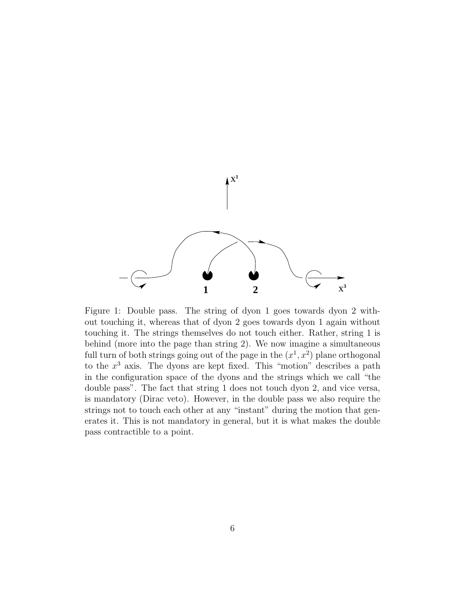

Figure 1: Double pass. The string of dyon 1 goes towards dyon 2 without touching it, whereas that of dyon 2 goes towards dyon 1 again without touching it. The strings themselves do not touch either. Rather, string 1 is behind (more into the page than string 2). We now imagine a simultaneous full turn of both strings going out of the page in the  $(x^1, x^2)$  plane orthogonal to the  $x^3$  axis. The dyons are kept fixed. This "motion" describes a path in the configuration space of the dyons and the strings which we call "the double pass". The fact that string 1 does not touch dyon 2, and vice versa, is mandatory (Dirac veto). However, in the double pass we also require the strings not to touch each other at any "instant" during the motion that generates it. This is not mandatory in general, but it is what makes the double pass contractible to a point.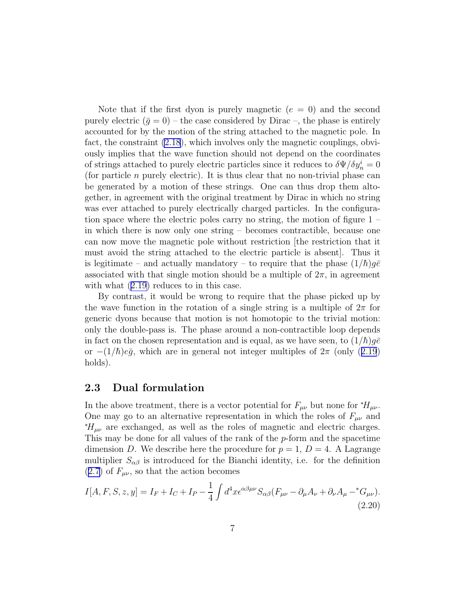<span id="page-7-0"></span>Note that if the first dyon is purely magnetic  $(e = 0)$  and the second purely electric  $(\bar{g} = 0)$  – the case considered by Dirac –, the phase is entirely accounted for by the motion of the string attached to the magnetic pole. In fact, the constraint [\(2.18](#page-5-0)), which involves only the magnetic couplings, obviously implies that the wave function should not depend on the coordinates of strings attached to purely electric particles since it reduces to  $\delta\Psi/\delta y^i_n=0$ (for particle n purely electric). It is thus clear that no non-trivial phase can be generated by a motion of these strings. One can thus drop them altogether, in agreement with the original treatment by Dirac in which no string was ever attached to purely electrically charged particles. In the configuration space where the electric poles carry no string, the motion of figure 1 – in which there is now only one string – becomes contractible, because one can now move the magnetic pole without restriction [the restriction that it must avoid the string attached to the electric particle is absent]. Thus it is legitimate – and actually mandatory – to require that the phase  $(1/\hbar)g\bar{e}$ associated with that single motion should be a multiple of  $2\pi$ , in agreement withwhat  $(2.19)$  $(2.19)$  reduces to in this case.

By contrast, it would be wrong to require that the phase picked up by the wave function in the rotation of a single string is a multiple of  $2\pi$  for generic dyons because that motion is not homotopic to the trivial motion: only the double-pass is. The phase around a non-contractible loop depends in fact on the chosen representation and is equal, as we have seen, to  $(1/\hbar)q\bar{e}$ or $-(1/\hbar)e\bar{g}$ , which are in general not integer multiples of  $2\pi$  (only ([2.19](#page-5-0)) holds).

#### 2.3 Dual formulation

In the above treatment, there is a vector potential for  $F_{\mu\nu}$  but none for  $*H_{\mu\nu}$ . One may go to an alternative representation in which the roles of  $F_{\mu\nu}$  and  $*H_{\mu\nu}$  are exchanged, as well as the roles of magnetic and electric charges. This may be done for all values of the rank of the p-form and the spacetime dimension D. We describe here the procedure for  $p = 1$ ,  $D = 4$ . A Lagrange multiplier  $S_{\alpha\beta}$  is introduced for the Bianchi identity, i.e. for the definition  $(2.7)$  $(2.7)$  of  $F_{\mu\nu}$ , so that the action becomes

$$
I[A, F, S, z, y] = I_F + I_C + I_P - \frac{1}{4} \int d^4x \epsilon^{\alpha\beta\mu\nu} S_{\alpha\beta} (F_{\mu\nu} - \partial_\mu A_\nu + \partial_\nu A_\mu -^* G_{\mu\nu}).
$$
\n(2.20)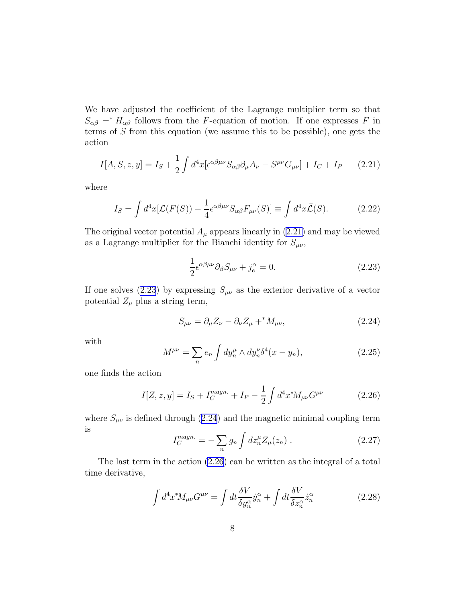<span id="page-8-0"></span>We have adjusted the coefficient of the Lagrange multiplier term so that  $S_{\alpha\beta}$  =  $H_{\alpha\beta}$  follows from the F-equation of motion. If one expresses F in terms of S from this equation (we assume this to be possible), one gets the action

$$
I[A, S, z, y] = I_S + \frac{1}{2} \int d^4x [\epsilon^{\alpha \beta \mu \nu} S_{\alpha \beta} \partial_\mu A_\nu - S^{\mu \nu} G_{\mu \nu}] + I_C + I_P \qquad (2.21)
$$

where

$$
I_S = \int d^4x [\mathcal{L}(F(S)) - \frac{1}{4} \epsilon^{\alpha\beta\mu\nu} S_{\alpha\beta} F_{\mu\nu}(S)] \equiv \int d^4x \bar{\mathcal{L}}(S). \tag{2.22}
$$

The original vector potential  $A_\mu$  appears linearly in (2.21) and may be viewed as a Lagrange multiplier for the Bianchi identity for  $S_{\mu\nu}$ ,

$$
\frac{1}{2}\epsilon^{\alpha\beta\mu\nu}\partial_{\beta}S_{\mu\nu} + j_e^{\alpha} = 0.
$$
 (2.23)

If one solves (2.23) by expressing  $S_{\mu\nu}$  as the exterior derivative of a vector potential  $Z_{\mu}$  plus a string term,

$$
S_{\mu\nu} = \partial_{\mu} Z_{\nu} - \partial_{\nu} Z_{\mu} + ^{*} M_{\mu\nu}, \qquad (2.24)
$$

with

$$
M^{\mu\nu} = \sum_{n} e_n \int dy_n^{\mu} \wedge dy_n^{\nu} \delta^4(x - y_n), \qquad (2.25)
$$

one finds the action

$$
I[Z, z, y] = I_S + I_C^{magn.} + I_P - \frac{1}{2} \int d^4 x^* M_{\mu\nu} G^{\mu\nu}
$$
 (2.26)

where  $S_{\mu\nu}$  is defined through (2.24) and the magnetic minimal coupling term is

$$
I_C^{magn.} = -\sum_n g_n \int dz_n^{\mu} Z_{\mu}(z_n) . \qquad (2.27)
$$

The last term in the action (2.26) can be written as the integral of a total time derivative,

$$
\int d^4x^* M_{\mu\nu} G^{\mu\nu} = \int dt \frac{\delta V}{\delta y_n^{\alpha}} \dot{y}_n^{\alpha} + \int dt \frac{\delta V}{\delta z_n^{\alpha}} \dot{z}_n^{\alpha} \tag{2.28}
$$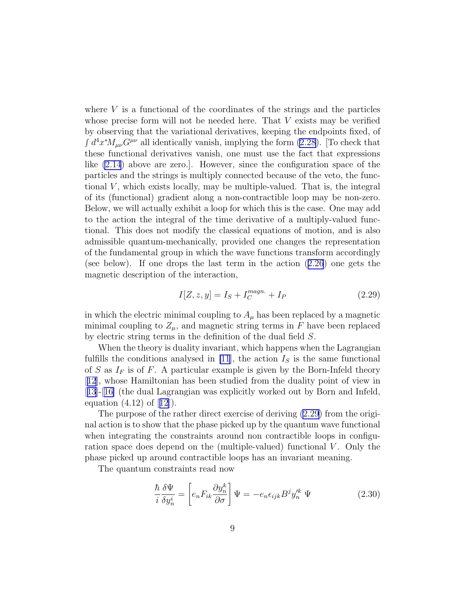<span id="page-9-0"></span>where  $V$  is a functional of the coordinates of the strings and the particles whose precise form will not be needed here. That  $V$  exists may be verified by observing that the variational derivatives, keeping the endpoints fixed, of  $\int d^4x^*M_{\mu\nu}G^{\mu\nu}$  all identically vanish, implying the form [\(2.28](#page-8-0)). [To check that these functional derivatives vanish, one must use the fact that expressions like [\(2.14](#page-4-0)) above are zero.]. However, since the configuration space of the particles and the strings is multiply connected because of the veto, the functional  $V$ , which exists locally, may be multiple-valued. That is, the integral of its (functional) gradient along a non-contractible loop may be non-zero. Below, we will actually exhibit a loop for which this is the case. One may add to the action the integral of the time derivative of a multiply-valued functional. This does not modify the classical equations of motion, and is also admissible quantum-mechanically, provided one changes the representation of the fundamental group in which the wave functions transform accordingly (see below). If one drops the last term in the action([2.26](#page-8-0)) one gets the magnetic description of the interaction,

$$
I[Z, z, y] = I_S + I_C^{magn.} + I_P
$$
\n(2.29)

in which the electric minimal coupling to  $A_\mu$  has been replaced by a magnetic minimal coupling to  $Z_{\mu}$ , and magnetic string terms in F have been replaced by electric string terms in the definition of the dual field S.

When the theory is duality invariant, which happens when the Lagrangian fulfills the conditions analysed in [\[11](#page-31-0)], the action  $I<sub>S</sub>$  is the same functional of S as  $I_F$  is of F. A particular example is given by the Born-Infeld theory [[12](#page-31-0)], whose Hamiltonian has been studied from the duality point of view in [[13](#page-31-0)]-[[16\]](#page-31-0) (the dual Lagrangian was explicitly worked out by Born and Infeld, equation $(4.12)$  $(4.12)$  $(4.12)$  of  $[12]$ ).

The purpose of the rather direct exercise of deriving (2.29) from the original action is to show that the phase picked up by the quantum wave functional when integrating the constraints around non contractible loops in configuration space does depend on the (multiple-valued) functional  $V$ . Only the phase picked up around contractible loops has an invariant meaning.

The quantum constraints read now

$$
\frac{\hbar}{i} \frac{\delta \Psi}{\delta y_n^i} = \left[ e_n F_{ik} \frac{\partial y_n^k}{\partial \sigma} \right] \Psi = -e_n \epsilon_{ijk} B^j y_n^{\prime k} \Psi \tag{2.30}
$$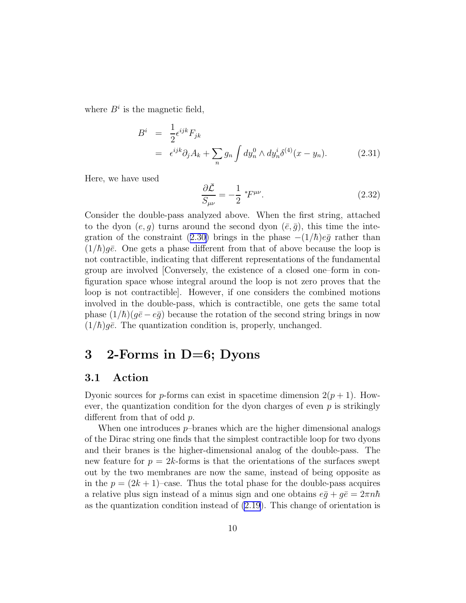where  $B^i$  is the magnetic field,

$$
B^{i} = \frac{1}{2} \epsilon^{ijk} F_{jk}
$$
  
=  $\epsilon^{ijk} \partial_{j} A_{k} + \sum_{n} g_{n} \int dy_{n}^{0} \wedge dy_{n}^{i} \delta^{(4)}(x - y_{n}).$  (2.31)

Here, we have used

$$
\frac{\partial \bar{\mathcal{L}}}{S_{\mu\nu}} = -\frac{1}{2} \, ^*F^{\mu\nu}.
$$
\n(2.32)

Consider the double-pass analyzed above. When the first string, attached to the dyon  $(e, q)$  turns around the second dyon  $(\bar{e}, \bar{q})$ , this time the inte-grationof the constraint ([2.30\)](#page-9-0) brings in the phase  $-(1/\hbar)e\bar{g}$  rather than  $(1/\hbar)g\bar{e}$ . One gets a phase different from that of above because the loop is not contractible, indicating that different representations of the fundamental group are involved [Conversely, the existence of a closed one–form in configuration space whose integral around the loop is not zero proves that the loop is not contractible]. However, if one considers the combined motions involved in the double-pass, which is contractible, one gets the same total phase  $(1/\hbar)(q\bar{e}-e\bar{q})$  because the rotation of the second string brings in now  $(1/\hbar)q\bar{e}$ . The quantization condition is, properly, unchanged.

### 3 2-Forms in  $D=6$ ; Dyons

### 3.1 Action

Dyonic sources for p-forms can exist in spacetime dimension  $2(p+1)$ . However, the quantization condition for the dyon charges of even  $p$  is strikingly different from that of odd p.

When one introduces  $p$ -branes which are the higher dimensional analogs of the Dirac string one finds that the simplest contractible loop for two dyons and their branes is the higher-dimensional analog of the double-pass. The new feature for  $p = 2k$ -forms is that the orientations of the surfaces swept out by the two membranes are now the same, instead of being opposite as in the  $p = (2k + 1)$ –case. Thus the total phase for the double-pass acquires a relative plus sign instead of a minus sign and one obtains  $e\bar{g} + g\bar{e} = 2\pi n\hbar$ as the quantization condition instead of [\(2.19](#page-5-0)). This change of orientation is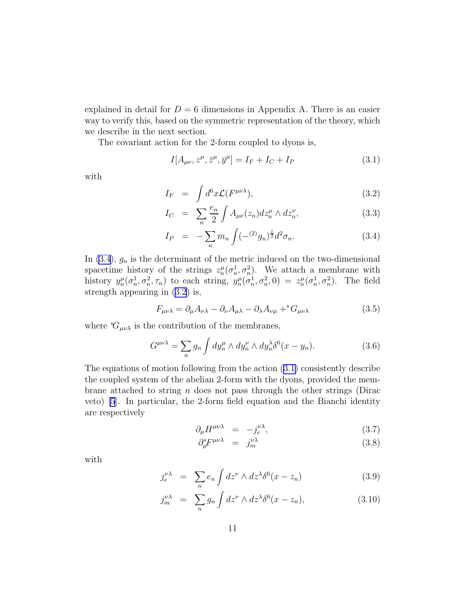explained in detail for  $D = 6$  dimensions in Appendix A. There is an easier way to verify this, based on the symmetric representation of the theory, which we describe in the next section.

The covariant action for the 2-form coupled to dyons is,

$$
I[A_{\mu\nu}, z^{\mu}, \bar{z}^{\mu}, \bar{y}^{\mu}] = I_F + I_C + I_P
$$
\n(3.1)

with

$$
I_F = \int d^6x \mathcal{L}(F^{\mu\nu\lambda}), \qquad (3.2)
$$

$$
I_C = \sum_{n} \frac{e_n}{2} \int A_{\mu\nu}(z_n) dz_n^{\mu} \wedge dz_n^{\nu}, \qquad (3.3)
$$

$$
I_P = -\sum_n m_n \int (-^{(2)}g_n)^{\frac{1}{2}} d^2 \sigma_n.
$$
 (3.4)

In  $(3.4)$ ,  $g_n$  is the determinant of the metric induced on the two-dimensional spacetime history of the strings  $z_n^{\mu}(\sigma_n^1, \sigma_n^2)$ . We attach a membrane with history  $y_n^{\mu}(\sigma_n^1, \sigma_n^2, \tau_n)$  to each string,  $y_n^{\mu}(\sigma_n^1, \sigma_n^2, 0) = z_n^{\mu}(\sigma_n^1, \sigma_n^2)$ . The field strength appearing in (3.2) is,

$$
F_{\mu\nu\lambda} = \partial_{\mu}A_{\nu\lambda} - \partial_{\nu}A_{\mu\lambda} - \partial_{\lambda}A_{\nu\mu} + ^*G_{\mu\nu\lambda}
$$
 (3.5)

where  $^*G_{\mu\nu\lambda}$  is the contribution of the membranes,

$$
G^{\mu\nu\lambda} = \sum_{n} g_n \int dy_n^{\mu} \wedge dy_n^{\nu} \wedge dy_n^{\lambda} \delta^6(x - y_n). \tag{3.6}
$$

The equations of motion following from the action (3.1) consistently describe the coupled system of the abelian 2-form with the dyons, provided the membrane attached to string n does not pass through the other strings (Dirac veto) [\[5](#page-31-0)]. In particular, the 2-form field equation and the Bianchi identity are respectively

$$
\partial_{\mu} H^{\mu\nu\lambda} = -j_e^{\nu\lambda}, \tag{3.7}
$$

$$
\partial_{\mu}^{*}F^{\mu\nu\lambda} = j_{m}^{\nu\lambda} \tag{3.8}
$$

with

$$
j_e^{\nu\lambda} = \sum_n e_n \int dz^{\nu} \wedge dz^{\lambda} \delta^6(x - z_n)
$$
 (3.9)

$$
j_m^{\nu\lambda} = \sum_n g_n \int dz^{\nu} \wedge dz^{\lambda} \delta^6(x - z_n), \qquad (3.10)
$$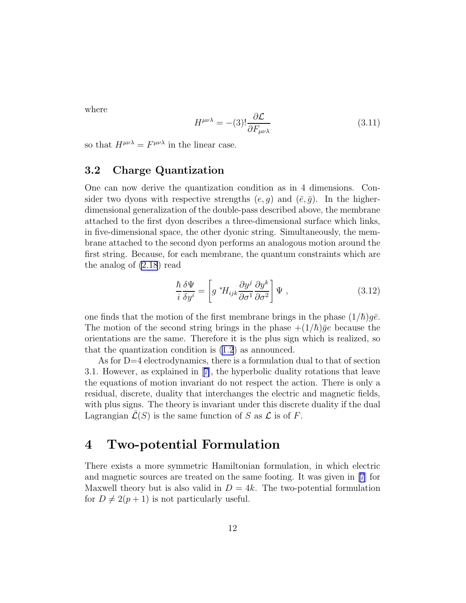<span id="page-12-0"></span>where

$$
H^{\mu\nu\lambda} = -(3)! \frac{\partial \mathcal{L}}{\partial F_{\mu\nu\lambda}} \tag{3.11}
$$

so that  $H^{\mu\nu\lambda} = F^{\mu\nu\lambda}$  in the linear case.

#### 3.2 Charge Quantization

One can now derive the quantization condition as in 4 dimensions. Consider two dyons with respective strengths  $(e, g)$  and  $(\bar{e}, \bar{g})$ . In the higherdimensional generalization of the double-pass described above, the membrane attached to the first dyon describes a three-dimensional surface which links, in five-dimensional space, the other dyonic string. Simultaneously, the membrane attached to the second dyon performs an analogous motion around the first string. Because, for each membrane, the quantum constraints which are the analog of [\(2.18](#page-5-0)) read

$$
\frac{\hbar}{i} \frac{\delta \Psi}{\delta y^i} = \left[ g^* H_{ijk} \frac{\partial y^j}{\partial \sigma^1} \frac{\partial y^k}{\partial \sigma^2} \right] \Psi , \qquad (3.12)
$$

one finds that the motion of the first membrane brings in the phase  $(1/\hbar)g\bar{e}$ . The motion of the second string brings in the phase  $+(1/\hbar)\bar{g}e$  because the orientations are the same. Therefore it is the plus sign which is realized, so that the quantization condition is [\(1.2](#page-1-0)) as announced.

As for  $D=4$  electrodynamics, there is a formulation dual to that of section 3.1. However, as explained in[[7\]](#page-31-0), the hyperbolic duality rotations that leave the equations of motion invariant do not respect the action. There is only a residual, discrete, duality that interchanges the electric and magnetic fields, with plus signs. The theory is invariant under this discrete duality if the dual Lagrangian  $\overline{\mathcal{L}}(S)$  is the same function of S as  $\mathcal{L}$  is of F.

### 4 Two-potential Formulation

There exists a more symmetric Hamiltonian formulation, in which electric and magnetic sources are treated on the same footing. It was given in [\[7](#page-31-0)] for Maxwell theory but is also valid in  $D = 4k$ . The two-potential formulation for  $D \neq 2(p+1)$  is not particularly useful.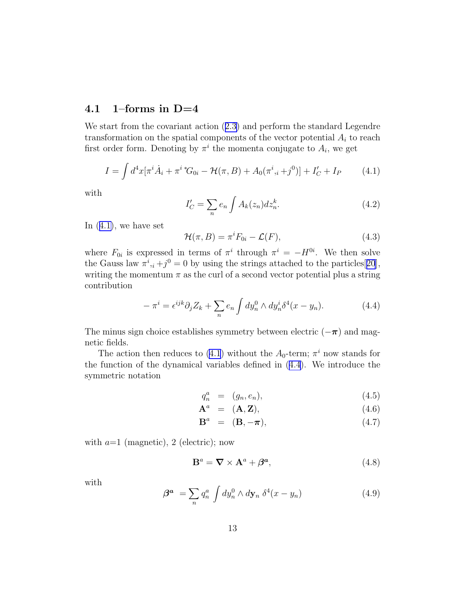#### <span id="page-13-0"></span>4.1 1–forms in  $D=4$

We start from the covariant action([2.3\)](#page-2-0) and perform the standard Legendre transformation on the spatial components of the vector potential  $A_i$  to reach first order form. Denoting by  $\pi^i$  the momenta conjugate to  $A_i$ , we get

$$
I = \int d^4x [\pi^i \dot{A}_i + \pi^i{}^* G_{0i} - \mathcal{H}(\pi, B) + A_0(\pi^i, i+j^0)] + I'_C + I_P \tag{4.1}
$$

with

$$
I_C' = \sum_n e_n \int A_k(z_n) dz_n^k. \tag{4.2}
$$

In  $(4.1)$ , we have set

$$
\mathcal{H}(\pi, B) = \pi^i F_{0i} - \mathcal{L}(F), \qquad (4.3)
$$

where  $F_{0i}$  is expressed in terms of  $\pi^i$  through  $\pi^i = -H^{0i}$ . We then solve the Gauss law  $\pi^i_{\;i} + j^0 = 0$  by using the strings attached to the particles [[20](#page-32-0)], writing the momentum  $\pi$  as the curl of a second vector potential plus a string contribution

$$
-\pi^i = \epsilon^{ijk}\partial_j Z_k + \sum_n e_n \int dy_n^0 \wedge dy_n^i \delta^4(x - y_n). \tag{4.4}
$$

The minus sign choice establishes symmetry between electric  $(-\pi)$  and magnetic fields.

The action then reduces to (4.1) without the  $A_0$ -term;  $\pi^i$  now stands for the function of the dynamical variables defined in (4.4). We introduce the symmetric notation

$$
q_n^a = (g_n, e_n), \qquad (4.5)
$$

$$
\mathbf{A}^a = (\mathbf{A}, \mathbf{Z}), \tag{4.6}
$$

$$
\mathbf{B}^a = (\mathbf{B}, -\boldsymbol{\pi}), \tag{4.7}
$$

with  $a=1$  (magnetic), 2 (electric); now

$$
\mathbf{B}^a = \nabla \times \mathbf{A}^a + \boldsymbol{\beta}^a,\tag{4.8}
$$

with

$$
\beta^a = \sum_n q_n^a \int dy_n^0 \wedge dy_n \; \delta^4(x - y_n) \tag{4.9}
$$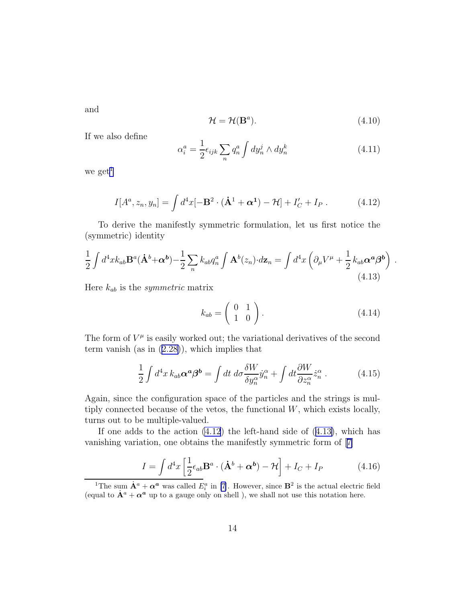<span id="page-14-0"></span>and

$$
\mathcal{H} = \mathcal{H}(\mathbf{B}^a). \tag{4.10}
$$

If we also define

$$
\alpha_i^a = \frac{1}{2} \epsilon_{ijk} \sum_n q_n^a \int dy_n^j \wedge dy_n^k \tag{4.11}
$$

we get $<sup>1</sup>$ </sup>

$$
I[A^a, z_n, y_n] = \int d^4x [-\mathbf{B}^2 \cdot (\dot{\mathbf{A}}^1 + \boldsymbol{\alpha}^1) - \mathcal{H}] + I'_C + I_P. \qquad (4.12)
$$

To derive the manifestly symmetric formulation, let us first notice the (symmetric) identity

$$
\frac{1}{2} \int d^4x k_{ab} \mathbf{B}^a (\dot{\mathbf{A}}^b + \alpha^b) - \frac{1}{2} \sum_n k_{ab} q_n^a \int \mathbf{A}^b(z_n) \cdot d\mathbf{z}_n = \int d^4x \left( \partial_\mu V^\mu + \frac{1}{2} k_{ab} \alpha^a \beta^b \right) .
$$
\n(4.13)

Here kab is the *symmetric* matrix

$$
k_{ab} = \left(\begin{array}{cc} 0 & 1 \\ 1 & 0 \end{array}\right). \tag{4.14}
$$

The form of  $V^{\mu}$  is easily worked out; the variational derivatives of the second term vanish (as in([2.28\)](#page-8-0)), which implies that

$$
\frac{1}{2} \int d^4x \, k_{ab} \alpha^a \beta^b = \int dt \, d\sigma \frac{\delta W}{\delta y_n^{\alpha}} \dot{y}_n^{\alpha} + \int dt \frac{\partial W}{\partial z_n^{\alpha}} \dot{z}_n^{\alpha} \,. \tag{4.15}
$$

Again, since the configuration space of the particles and the strings is multiply connected because of the vetos, the functional  $W$ , which exists locally, turns out to be multiple-valued.

If one adds to the action  $(4.12)$  the left-hand side of  $(4.13)$ , which has vanishing variation, one obtains the manifestly symmetric form of [\[7\]](#page-31-0)

$$
I = \int d^4x \left[ \frac{1}{2} \epsilon_{ab} \mathbf{B}^a \cdot (\dot{\mathbf{A}}^b + \alpha^b) - \mathcal{H} \right] + I_C + I_P \tag{4.16}
$$

<sup>&</sup>lt;sup>1</sup>The sum  $\dot{A}^a + \alpha^a$  was called  $E_i^a$  in [\[7](#page-31-0)]. However, since  $B^2$  is the actual electric field (equal to  $\dot{A}^a + \alpha^a$  up to a gauge only on shell ), we shall not use this notation here.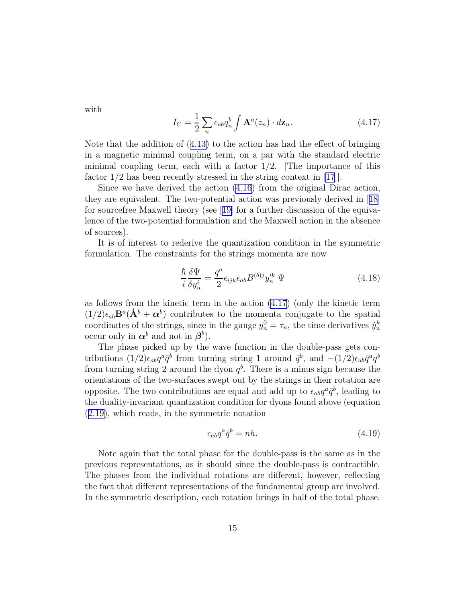<span id="page-15-0"></span>with

$$
I_C = \frac{1}{2} \sum_n \epsilon_{ab} q_n^b \int \mathbf{A}^a(z_n) \cdot d\mathbf{z}_n.
$$
 (4.17)

Note that the addition of([4.13\)](#page-14-0) to the action has had the effect of bringing in a magnetic minimal coupling term, on a par with the standard electric minimal coupling term, each with a factor  $1/2$ . The importance of this factor 1/2 has been recently stressed in the string context in [\[17](#page-31-0)]].

Since we have derived the action([4.16\)](#page-14-0) from the original Dirac action, they are equivalent. The two-potential action was previously derived in[[18\]](#page-31-0) for sourcefree Maxwell theory (see[[19\]](#page-31-0) for a further discussion of the equivalence of the two-potential formulation and the Maxwell action in the absence of sources).

It is of interest to rederive the quantization condition in the symmetric formulation. The constraints for the strings momenta are now

$$
\frac{\hbar}{i} \frac{\delta \Psi}{\delta y_n^i} = \frac{q^a}{2} \epsilon_{ijk} \epsilon_{ab} B^{(b)j} y_n^{\prime k} \Psi \tag{4.18}
$$

as follows from the kinetic term in the action (4.17) (only the kinetic term  $(1/2)\epsilon_{ab} \mathbf{B}^a(\dot{\mathbf{A}}^b + \boldsymbol{\alpha}^b)$  contributes to the momenta conjugate to the spatial coordinates of the strings, since in the gauge  $y_n^0 = \tau_n$ , the time derivatives  $\dot{y}_n^k$ occur only in  $\alpha^b$  and not in  $\beta^b$ ).

The phase picked up by the wave function in the double-pass gets contributions  $(1/2)\epsilon_{ab}q^a\bar{q}^b$  from turning string 1 around  $\bar{q}^b$ , and  $-(1/2)\epsilon_{ab}\bar{q}^a q^b$ from turning string 2 around the dyon  $q^b$ . There is a minus sign because the orientations of the two-surfaces swept out by the strings in their rotation are opposite. The two contributions are equal and add up to  $\epsilon_{ab}q^a \bar{q}^b$ , leading to the duality-invariant quantization condition for dyons found above (equation ([2.19\)](#page-5-0), which reads, in the symmetric notation

$$
\epsilon_{ab}q^a \bar{q}^b = nh. \tag{4.19}
$$

Note again that the total phase for the double-pass is the same as in the previous representations, as it should since the double-pass is contractible. The phases from the individual rotations are different, however, reflecting the fact that different representations of the fundamental group are involved. In the symmetric description, each rotation brings in half of the total phase.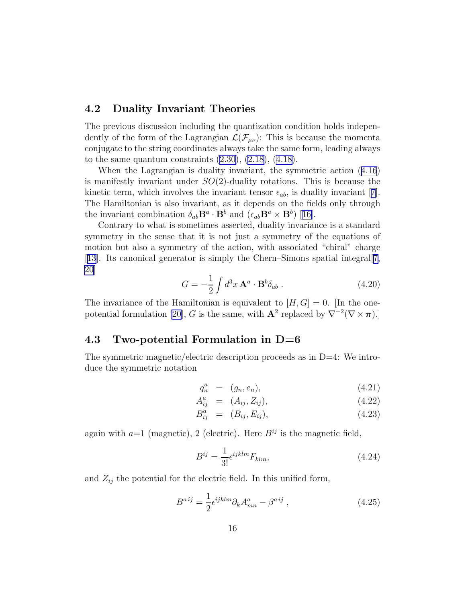#### 4.2 Duality Invariant Theories

The previous discussion including the quantization condition holds independently of the form of the Lagrangian  $\mathcal{L}(\mathcal{F}_{\mu\nu})$ : This is because the momenta conjugate to the string coordinates always take the same form, leading always tothe same quantum constraints  $(2.30)$  $(2.30)$ ,  $(2.18)$  $(2.18)$ ,  $(4.18)$  $(4.18)$ .

When the Lagrangian is duality invariant, the symmetric action([4.16](#page-14-0)) is manifestly invariant under  $SO(2)$ -duality rotations. This is because the kineticterm, which involves the invariant tensor  $\epsilon_{ab}$ , is duality invariant [[7](#page-31-0)]. The Hamiltonian is also invariant, as it depends on the fields only through the invariant combination  $\delta_{ab} \mathbf{B}^a \cdot \mathbf{B}^b$  and  $(\epsilon_{ab} \mathbf{B}^a \times \mathbf{B}^b)$  [\[16\]](#page-31-0).

Contrary to what is sometimes asserted, duality invariance is a standard symmetry in the sense that it is not just a symmetry of the equations of motion but also a symmetry of the action, with associated "chiral" charge [[13](#page-31-0)]. Its canonical generator is simply the Chern–Simons spatial integral[[7,](#page-31-0) [20](#page-32-0)]

$$
G = -\frac{1}{2} \int d^3x \, \mathbf{A}^a \cdot \mathbf{B}^b \delta_{ab} \,. \tag{4.20}
$$

The invariance of the Hamiltonian is equivalent to  $[H, G] = 0$ . [In the one-potential formulation [\[20](#page-32-0)], G is the same, with  $\mathbf{A}^2$  replaced by  $\nabla^{-2}(\nabla \times \pi)$ .]

#### 4.3 Two-potential Formulation in  $D=6$

The symmetric magnetic/electric description proceeds as in  $D=4$ : We introduce the symmetric notation

$$
q_n^a = (g_n, e_n), \t\t(4.21)
$$

$$
A_{ij}^a = (A_{ij}, Z_{ij}), \t\t(4.22)
$$

$$
B_{ij}^a = (B_{ij}, E_{ij}), \t\t(4.23)
$$

again with  $a=1$  (magnetic), 2 (electric). Here  $B^{ij}$  is the magnetic field,

$$
B^{ij} = \frac{1}{3!} \epsilon^{ijklm} F_{klm}, \qquad (4.24)
$$

and  $Z_{ij}$  the potential for the electric field. In this unified form,

$$
B^{aij} = \frac{1}{2} \epsilon^{ijklm} \partial_k A^a_{mn} - \beta^{aij} , \qquad (4.25)
$$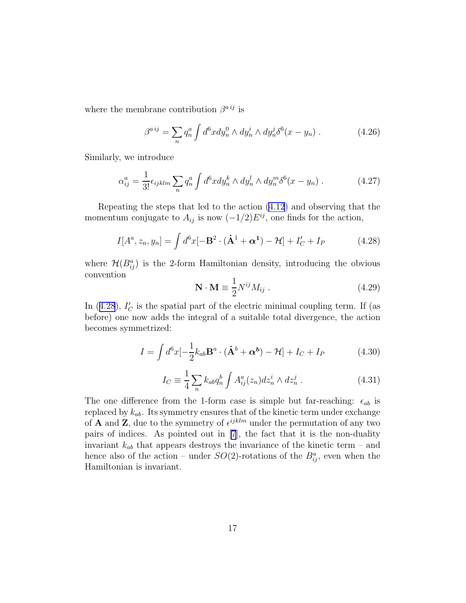<span id="page-17-0"></span>where the membrane contribution  $\beta^{aij}$  is

$$
\beta^{a\,ij} = \sum_{n} q_n^a \int d^6x dy_n^0 \wedge dy_n^i \wedge dy_n^j \delta^6(x - y_n) \,. \tag{4.26}
$$

Similarly, we introduce

$$
\alpha_{ij}^a = \frac{1}{3!} \epsilon_{ijklm} \sum_n q_n^a \int d^6 x dy_n^k \wedge dy_n^l \wedge dy_n^m \delta^6(x - y_n) \,. \tag{4.27}
$$

Repeating the steps that led to the action [\(4.12](#page-14-0)) and observing that the momentum conjugate to  $A_{ij}$  is now  $(-1/2)E^{ij}$ , one finds for the action,

$$
I[A^a, z_n, y_n] = \int d^6x [-\mathbf{B}^2 \cdot (\mathbf{A}^1 + \boldsymbol{\alpha}^1) - \mathcal{H}] + I'_C + I_P
$$
 (4.28)

where  $\mathcal{H}(B_{ij}^a)$  is the 2-form Hamiltonian density, introducing the obvious convention

$$
\mathbf{N} \cdot \mathbf{M} \equiv \frac{1}{2} N^{ij} M_{ij} . \tag{4.29}
$$

In  $(4.28)$ ,  $I'_C$  is the spatial part of the electric minimal coupling term. If (as before) one now adds the integral of a suitable total divergence, the action becomes symmetrized:

$$
I = \int d^6x \left[ -\frac{1}{2}k_{ab}\mathbf{B}^a \cdot (\dot{\mathbf{A}}^b + \boldsymbol{\alpha}^b) - \mathcal{H} \right] + I_C + I_P \tag{4.30}
$$

$$
I_C \equiv \frac{1}{4} \sum_n k_{ab} q_n^b \int A_{ij}^a(z_n) dz_n^i \wedge dz_n^j . \qquad (4.31)
$$

The one difference from the 1-form case is simple but far-reaching:  $\epsilon_{ab}$  is replaced by  $k_{ab}$ . Its symmetry ensures that of the kinetic term under exchange of **A** and **Z**, due to the symmetry of  $\epsilon^{ijklm}$  under the permutation of any two pairs of indices. As pointed out in [\[7](#page-31-0)], the fact that it is the non-duality invariant  $k_{ab}$  that appears destroys the invariance of the kinetic term – and hence also of the action – under  $SO(2)$ -rotations of the  $B_{ij}^a$ , even when the Hamiltonian is invariant.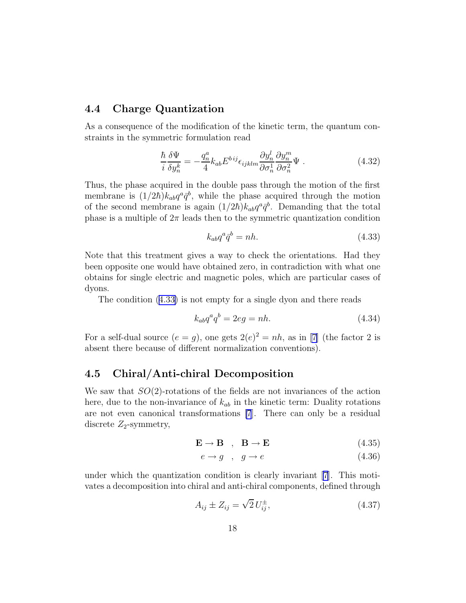#### 4.4 Charge Quantization

As a consequence of the modification of the kinetic term, the quantum constraints in the symmetric formulation read

$$
\frac{\hbar}{i} \frac{\delta \Psi}{\delta y_n^k} = -\frac{q_n^a}{4} k_{ab} E^{bij} \epsilon_{ijklm} \frac{\partial y_n^l}{\partial \sigma_n^1} \frac{\partial y_n^m}{\partial \sigma_n^2} \Psi . \tag{4.32}
$$

Thus, the phase acquired in the double pass through the motion of the first membrane is  $(1/2\hbar)k_{ab}q^a\bar{q}^b$ , while the phase acquired through the motion of the second membrane is again  $(1/2\hbar)k_{ab}q^a\bar{q}^b$ . Demanding that the total phase is a multiple of  $2\pi$  leads then to the symmetric quantization condition

$$
k_{ab}q^a \bar{q}^b = nh. \tag{4.33}
$$

Note that this treatment gives a way to check the orientations. Had they been opposite one would have obtained zero, in contradiction with what one obtains for single electric and magnetic poles, which are particular cases of dyons.

The condition (4.33) is not empty for a single dyon and there reads

$$
k_{ab}q^a q^b = 2eg = nh.
$$
\n
$$
(4.34)
$$

For a self-dual source  $(e = g)$ , one gets  $2(e)^2 = nh$ , as in [\[7](#page-31-0)] (the factor 2 is absent there because of different normalization conventions).

#### 4.5 Chiral/Anti-chiral Decomposition

We saw that  $SO(2)$ -rotations of the fields are not invariances of the action here, due to the non-invariance of  $k_{ab}$  in the kinetic term: Duality rotations are not even canonical transformations [\[7](#page-31-0)]. There can only be a residual discrete  $Z_2$ -symmetry,

$$
\mathbf{E} \to \mathbf{B} \quad , \quad \mathbf{B} \to \mathbf{E} \tag{4.35}
$$

$$
e \to g \quad , \quad g \to e \tag{4.36}
$$

under which the quantization condition is clearly invariant [\[7\]](#page-31-0). This motivates a decomposition into chiral and anti-chiral components, defined through

$$
A_{ij} \pm Z_{ij} = \sqrt{2} U_{ij}^{\pm}, \tag{4.37}
$$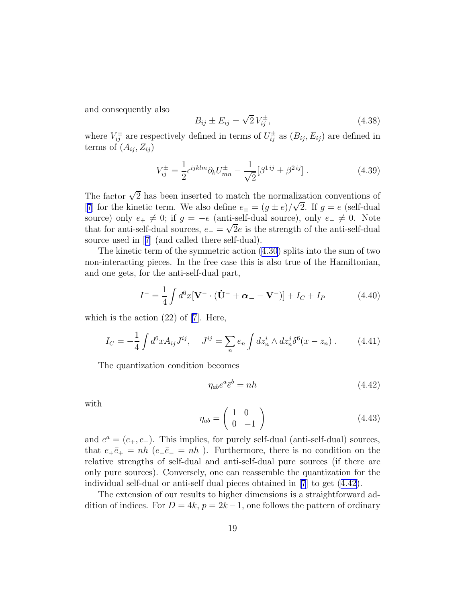<span id="page-19-0"></span>and consequently also

$$
B_{ij} \pm E_{ij} = \sqrt{2} V_{ij}^{\pm}, \tag{4.38}
$$

where  $V_{ij}^{\pm}$  are respectively defined in terms of  $U_{ij}^{\pm}$  as  $(B_{ij}, E_{ij})$  are defined in terms of  $(A_{ij}, Z_{ij})$ 

$$
V_{ij}^{\pm} = \frac{1}{2} \epsilon^{ijklm} \partial_k U_{mn}^{\pm} - \frac{1}{\sqrt{2}} [\beta^{1\,ij} \pm \beta^{2\,ij}]. \tag{4.39}
$$

The factor  $\sqrt{2}$  has been inserted to match the normalization conventions of [[7](#page-31-0)] for the kinetic term. We also define  $e_{\pm} = (g \pm e)/\sqrt{2}$ . If  $g = e$  (self-dual source) only  $e_+ \neq 0$ ; if  $g = -e$  (anti-self-dual source), only  $e_- \neq 0$ . Note that for anti-self-dual sources,  $e_{-} = \sqrt{2}e$  is the strength of the anti-self-dual source used in[[7\]](#page-31-0) (and called there self-dual).

The kinetic term of the symmetric action [\(4.30\)](#page-17-0) splits into the sum of two non-interacting pieces. In the free case this is also true of the Hamiltonian, and one gets, for the anti-self-dual part,

$$
I^{-} = \frac{1}{4} \int d^{6}x \left[ \mathbf{V}^{-} \cdot (\dot{\mathbf{U}}^{-} + \boldsymbol{\alpha}_{-} - \mathbf{V}^{-}) \right] + I_{C} + I_{P}
$$
(4.40)

which is the action  $(22)$  of [\[7](#page-31-0)]. Here,

$$
I_C = -\frac{1}{4} \int d^6 x A_{ij} J^{ij}, \quad J^{ij} = \sum_n e_n \int dz_n^i \wedge dz_n^j \delta^6(x - z_n) \,. \tag{4.41}
$$

The quantization condition becomes

$$
\eta_{ab}e^a \bar{e}^b = nh \tag{4.42}
$$

with

$$
\eta_{ab} = \left(\begin{array}{cc} 1 & 0 \\ 0 & -1 \end{array}\right) \tag{4.43}
$$

and  $e^a = (e_+, e_-)$ . This implies, for purely self-dual (anti-self-dual) sources, that  $e_+\bar{e}_+ = nh$  ( $e_-\bar{e}_- = nh$ ). Furthermore, there is no condition on the relative strengths of self-dual and anti-self-dual pure sources (if there are only pure sources). Conversely, one can reassemble the quantization for the individual self-dual or anti-self dual pieces obtained in [\[7](#page-31-0)] to get (4.42).

The extension of our results to higher dimensions is a straightforward addition of indices. For  $D = 4k$ ,  $p = 2k - 1$ , one follows the pattern of ordinary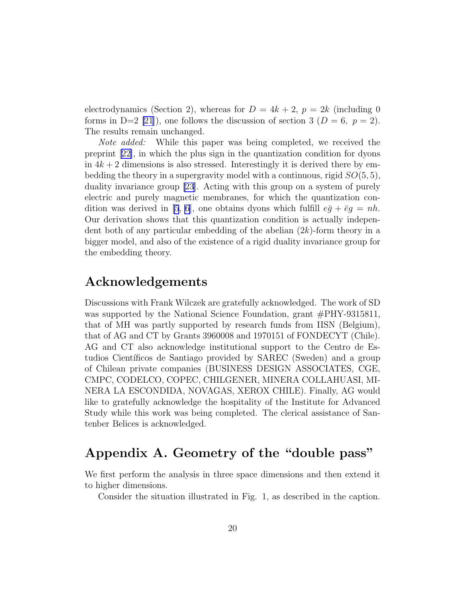electrodynamics (Section 2), whereas for  $D = 4k + 2$ ,  $p = 2k$  (including 0) forms in D=2 [\[21](#page-32-0)]), one follows the discussion of section 3 ( $D = 6$ ,  $p = 2$ ). The results remain unchanged.

*Note added:* While this paper was being completed, we received the preprint[[22\]](#page-32-0), in which the plus sign in the quantization condition for dyons in  $4k+2$  dimensions is also stressed. Interestingly it is derived there by embedding the theory in a supergravity model with a continuous, rigid  $SO(5,5)$ , duality invariance group [\[23](#page-32-0)]. Acting with this group on a system of purely electric and purely magnetic membranes, for which the quantization con-dition was derived in [\[5](#page-31-0), [6](#page-31-0)], one obtains dyons which fulfill  $e\bar{g} + \bar{e}g = nh$ . Our derivation shows that this quantization condition is actually independent both of any particular embedding of the abelian  $(2k)$ -form theory in a bigger model, and also of the existence of a rigid duality invariance group for the embedding theory.

### Acknowledgements

Discussions with Frank Wilczek are gratefully acknowledged. The work of SD was supported by the National Science Foundation, grant  $\#PHY-9315811$ , that of MH was partly supported by research funds from IISN (Belgium), that of AG and CT by Grants 3960008 and 1970151 of FONDECYT (Chile). AG and CT also acknowledge institutional support to the Centro de Estudios Científicos de Santiago provided by SAREC (Sweden) and a group of Chilean private companies (BUSINESS DESIGN ASSOCIATES, CGE, CMPC, CODELCO, COPEC, CHILGENER, MINERA COLLAHUASI, MI-NERA LA ESCONDIDA, NOVAGAS, XEROX CHILE). Finally, AG would like to gratefully acknowledge the hospitality of the Institute for Advanced Study while this work was being completed. The clerical assistance of Santenber Belices is acknowledged.

### Appendix A. Geometry of the "double pass"

We first perform the analysis in three space dimensions and then extend it to higher dimensions.

Consider the situation illustrated in Fig. 1, as described in the caption.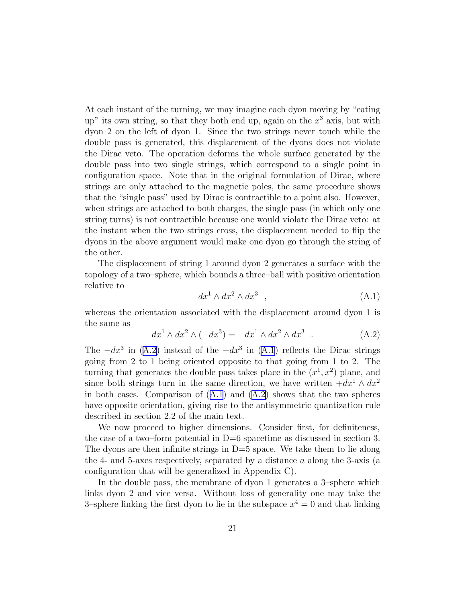At each instant of the turning, we may imagine each dyon moving by "eating up" its own string, so that they both end up, again on the  $x^3$  axis, but with dyon 2 on the left of dyon 1. Since the two strings never touch while the double pass is generated, this displacement of the dyons does not violate the Dirac veto. The operation deforms the whole surface generated by the double pass into two single strings, which correspond to a single point in configuration space. Note that in the original formulation of Dirac, where strings are only attached to the magnetic poles, the same procedure shows that the "single pass" used by Dirac is contractible to a point also. However, when strings are attached to both charges, the single pass (in which only one string turns) is not contractible because one would violate the Dirac veto: at the instant when the two strings cross, the displacement needed to flip the dyons in the above argument would make one dyon go through the string of the other.

The displacement of string 1 around dyon 2 generates a surface with the topology of a two–sphere, which bounds a three–ball with positive orientation relative to

$$
dx^1 \wedge dx^2 \wedge dx^3 \quad , \tag{A.1}
$$

whereas the orientation associated with the displacement around dyon 1 is the same as

$$
dx1 \wedge dx2 \wedge (-dx3) = -dx1 \wedge dx2 \wedge dx3
$$
 (A.2)

The  $-dx^3$  in (A.2) instead of the  $+dx^3$  in (A.1) reflects the Dirac strings going from 2 to 1 being oriented opposite to that going from 1 to 2. The turning that generates the double pass takes place in the  $(x^1, x^2)$  plane, and since both strings turn in the same direction, we have written  $+dx^1 \wedge dx^2$ in both cases. Comparison of  $(A.1)$  and  $(A.2)$  shows that the two spheres have opposite orientation, giving rise to the antisymmetric quantization rule described in section 2.2 of the main text.

We now proceed to higher dimensions. Consider first, for definiteness, the case of a two–form potential in  $D=6$  spacetime as discussed in section 3. The dyons are then infinite strings in  $D=5$  space. We take them to lie along the 4- and 5-axes respectively, separated by a distance a along the 3-axis (a configuration that will be generalized in Appendix C).

In the double pass, the membrane of dyon 1 generates a 3–sphere which links dyon 2 and vice versa. Without loss of generality one may take the 3–sphere linking the first dyon to lie in the subspace  $x^4 = 0$  and that linking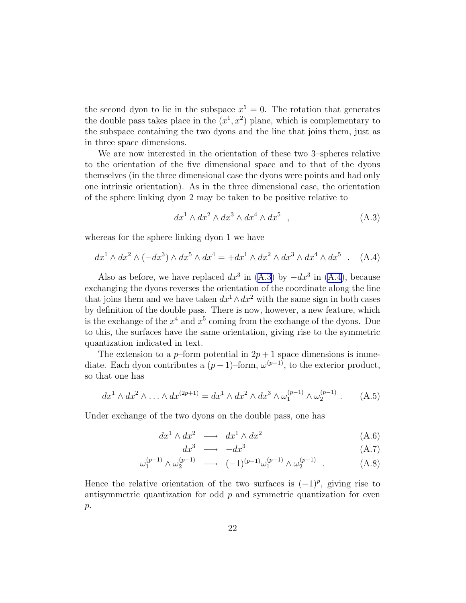the second dyon to lie in the subspace  $x^5 = 0$ . The rotation that generates the double pass takes place in the  $(x^1, x^2)$  plane, which is complementary to the subspace containing the two dyons and the line that joins them, just as in three space dimensions.

We are now interested in the orientation of these two 3–spheres relative to the orientation of the five dimensional space and to that of the dyons themselves (in the three dimensional case the dyons were points and had only one intrinsic orientation). As in the three dimensional case, the orientation of the sphere linking dyon 2 may be taken to be positive relative to

$$
dx1 \wedge dx2 \wedge dx3 \wedge dx4 \wedge dx5 , \qquad (A.3)
$$

whereas for the sphere linking dyon 1 we have

$$
dx1 \wedge dx2 \wedge (-dx3) \wedge dx5 \wedge dx4 = +dx1 \wedge dx2 \wedge dx3 \wedge dx4 \wedge dx5
$$
 (A.4)

Also as before, we have replaced  $dx^3$  in (A.3) by  $-dx^3$  in (A.4), because exchanging the dyons reverses the orientation of the coordinate along the line that joins them and we have taken  $dx^1 \wedge dx^2$  with the same sign in both cases by definition of the double pass. There is now, however, a new feature, which is the exchange of the  $x^4$  and  $x^5$  coming from the exchange of the dyons. Due to this, the surfaces have the same orientation, giving rise to the symmetric quantization indicated in text.

The extension to a p–form potential in  $2p + 1$  space dimensions is immediate. Each dyon contributes a  $(p-1)$ –form,  $\omega^{(p-1)}$ , to the exterior product, so that one has

$$
dx^{1} \wedge dx^{2} \wedge \ldots \wedge dx^{(2p+1)} = dx^{1} \wedge dx^{2} \wedge dx^{3} \wedge \omega_{1}^{(p-1)} \wedge \omega_{2}^{(p-1)}.
$$
 (A.5)

Under exchange of the two dyons on the double pass, one has

$$
dx^1 \wedge dx^2 \longrightarrow dx^1 \wedge dx^2 \tag{A.6}
$$

$$
dx^3 \longrightarrow -dx^3 \tag{A.7}
$$

$$
\omega_1^{(p-1)} \wedge \omega_2^{(p-1)} \longrightarrow (-1)^{(p-1)} \omega_1^{(p-1)} \wedge \omega_2^{(p-1)} . \tag{A.8}
$$

Hence the relative orientation of the two surfaces is  $(-1)^p$ , giving rise to antisymmetric quantization for odd  $p$  and symmetric quantization for even  $p$ .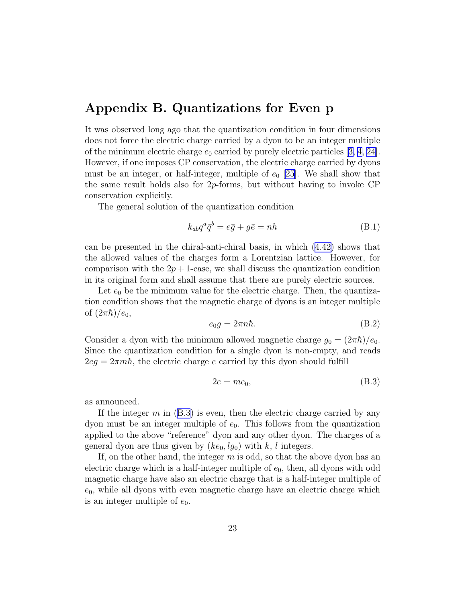### Appendix B. Quantizations for Even p

It was observed long ago that the quantization condition in four dimensions does not force the electric charge carried by a dyon to be an integer multiple ofthe minimum electric charge  $e_0$  carried by purely electric particles [[3, 4,](#page-30-0) [24](#page-32-0)]. However, if one imposes CP conservation, the electric charge carried by dyons must be an integer, or half-integer, multiple of  $e_0$  [\[25](#page-32-0)]. We shall show that the same result holds also for  $2p$ -forms, but without having to invoke CP conservation explicitly.

The general solution of the quantization condition

$$
k_{ab}q^a \bar{q}^b = e\bar{g} + g\bar{e} = nh
$$
 (B.1)

can be presented in the chiral-anti-chiral basis, in which [\(4.42\)](#page-19-0) shows that the allowed values of the charges form a Lorentzian lattice. However, for comparison with the  $2p + 1$ -case, we shall discuss the quantization condition in its original form and shall assume that there are purely electric sources.

Let  $e_0$  be the minimum value for the electric charge. Then, the quantization condition shows that the magnetic charge of dyons is an integer multiple of  $(2\pi\hbar)/e_0$ ,

$$
e_0 g = 2\pi n \hbar. \tag{B.2}
$$

Consider a dyon with the minimum allowed magnetic charge  $g_0 = (2\pi\hbar)/e_0$ . Since the quantization condition for a single dyon is non-empty, and reads  $2eq = 2\pi m\hbar$ , the electric charge e carried by this dyon should fulfill

$$
2e = me_0,\t\t(B.3)
$$

as announced.

If the integer  $m$  in (B.3) is even, then the electric charge carried by any dyon must be an integer multiple of  $e_0$ . This follows from the quantization applied to the above "reference" dyon and any other dyon. The charges of a general dyon are thus given by  $(ke_0, lg_0)$  with k, l integers.

If, on the other hand, the integer  $m$  is odd, so that the above dyon has an electric charge which is a half-integer multiple of  $e_0$ , then, all dyons with odd magnetic charge have also an electric charge that is a half-integer multiple of  $e_0$ , while all dyons with even magnetic charge have an electric charge which is an integer multiple of  $e_0$ .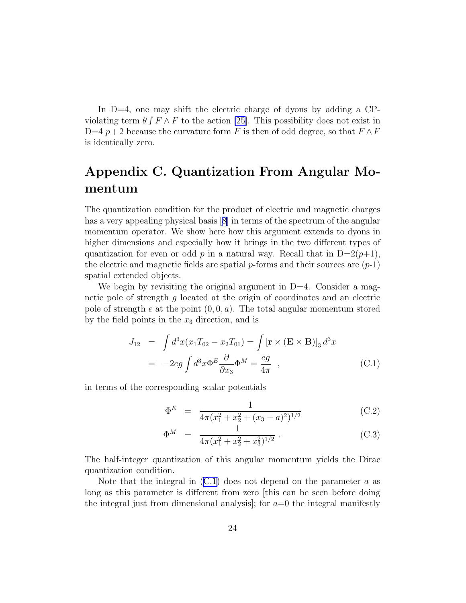<span id="page-24-0"></span>In  $D=4$ , one may shift the electric charge of dyons by adding a CPviolating term  $\theta \int F \wedge F$  to the action [\[25](#page-32-0)]. This possibility does not exist in D=4 p + 2 because the curvature form F is then of odd degree, so that  $F \wedge F$ is identically zero.

# Appendix C. Quantization From Angular Momentum

The quantization condition for the product of electric and magnetic charges hasa very appealing physical basis  $|8|$  in terms of the spectrum of the angular momentum operator. We show here how this argument extends to dyons in higher dimensions and especially how it brings in the two different types of quantization for even or odd p in a natural way. Recall that in  $D=2(p+1)$ , the electric and magnetic fields are spatial  $p$ -forms and their sources are  $(p-1)$ spatial extended objects.

We begin by revisiting the original argument in  $D=4$ . Consider a magnetic pole of strength g located at the origin of coordinates and an electric pole of strength e at the point  $(0, 0, a)$ . The total angular momentum stored by the field points in the  $x_3$  direction, and is

$$
J_{12} = \int d^3x (x_1 T_{02} - x_2 T_{01}) = \int [\mathbf{r} \times (\mathbf{E} \times \mathbf{B})]_3 d^3x
$$
  
= 
$$
-2eg \int d^3x \Phi^E \frac{\partial}{\partial x_3} \Phi^M = \frac{eg}{4\pi} , \qquad (C.1)
$$

in terms of the corresponding scalar potentials

$$
\Phi^E = \frac{1}{4\pi (x_1^2 + x_2^2 + (x_3 - a)^2)^{1/2}}
$$
(C.2)

$$
\Phi^M = \frac{1}{4\pi (x_1^2 + x_2^2 + x_3^2)^{1/2}} \,. \tag{C.3}
$$

The half-integer quantization of this angular momentum yields the Dirac quantization condition.

Note that the integral in  $(C.1)$  does not depend on the parameter a as long as this parameter is different from zero [this can be seen before doing the integral just from dimensional analysis]; for  $a=0$  the integral manifestly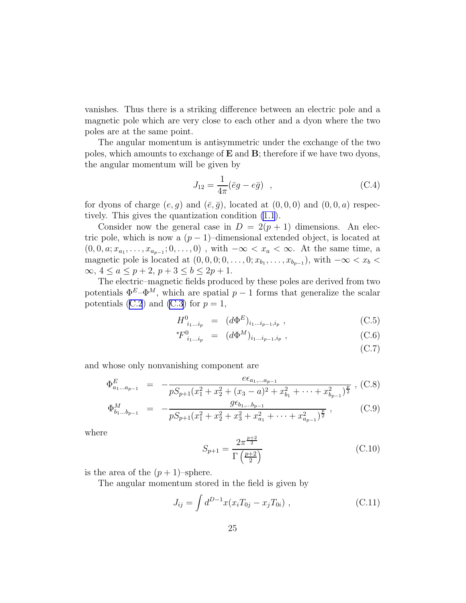vanishes. Thus there is a striking difference between an electric pole and a magnetic pole which are very close to each other and a dyon where the two poles are at the same point.

The angular momentum is antisymmetric under the exchange of the two poles, which amounts to exchange of  $E$  and  $B$ ; therefore if we have two dyons, the angular momentum will be given by

$$
J_{12} = \frac{1}{4\pi} (\bar{e}g - e\bar{g}) \quad , \tag{C.4}
$$

for dyons of charge  $(e, g)$  and  $(\bar{e}, \bar{g})$ , located at  $(0, 0, 0)$  and  $(0, 0, a)$  respectively. This gives the quantization condition [\(1.1](#page-1-0)).

Consider now the general case in  $D = 2(p + 1)$  dimensions. An electric pole, which is now a  $(p-1)$ –dimensional extended object, is located at  $(0, 0, a; x_{a_1}, \ldots, x_{a_{p-1}}; 0, \ldots, 0)$ , with  $-\infty < x_a < \infty$ . At the same time, a magnetic pole is located at  $(0,0,0;0,\ldots,0;x_{b_1},\ldots,x_{b_{p-1}})$ , with  $-\infty < x_b <$  $\infty, 4 \le a \le p+2, p+3 \le b \le 2p+1.$ 

The electric–magnetic fields produced by these poles are derived from two potentials  $\Phi^E - \Phi^M$ , which are spatial  $p-1$  forms that generalize the scalar potentials([C.2](#page-24-0)) and [\(C.3\)](#page-24-0) for  $p = 1$ ,

$$
H^{0}_{i_1...i_p} = (d\Phi^E)_{i_1...i_{p-1},i_p}, \qquad (C.5)
$$

$$
{}^{*}F^{0}_{i_1...i_p} = (d\Phi^M)_{i_1...i_{p-1},i_p}, \qquad (C.6)
$$

(C.7)

and whose only nonvanishing component are

$$
\Phi_{a_1...a_{p-1}}^E = -\frac{e\epsilon_{a_1,...a_{p-1}}}{pS_{p+1}(x_1^2 + x_2^2 + (x_3 - a)^2 + x_{b_1}^2 + \dots + x_{b_{p-1}}^2)^{\frac{p}{2}}},
$$
(C.8)

$$
\Phi_{b_1...b_{p-1}}^M = -\frac{g\epsilon_{b_1,...b_{p-1}}}{pS_{p+1}(x_1^2 + x_2^2 + x_3^2 + x_{a_1}^2 + \dots + x_{a_{p-1}}^2)^{\frac{p}{2}}},
$$
\n(C.9)

where

$$
S_{p+1} = \frac{2\pi^{\frac{p+2}{2}}}{\Gamma(\frac{p+2}{2})}
$$
 (C.10)

is the area of the  $(p+1)$ –sphere.

The angular momentum stored in the field is given by

$$
J_{ij} = \int d^{D-1}x (x_i T_{0j} - x_j T_{0i}), \qquad (C.11)
$$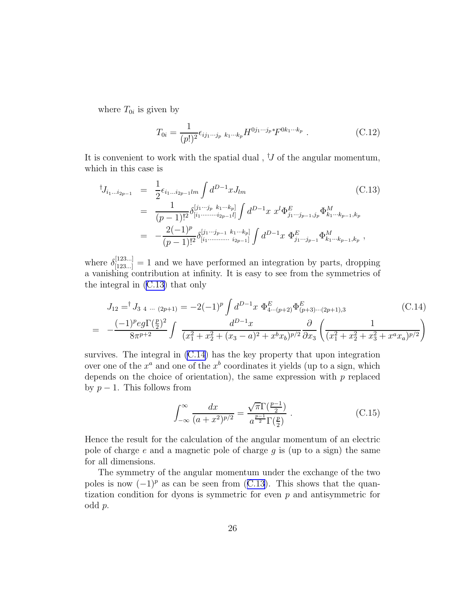<span id="page-26-0"></span>where  $T_{0i}$  is given by

$$
T_{0i} = \frac{1}{(p!)^2} \epsilon_{ij_1 \cdots j_p \ k_1 \cdots k_p} H^{0j_1 \cdots j_p *} F^{0k_1 \cdots k_p} \ . \tag{C.12}
$$

It is convenient to work with the spatial dual,  $^{\dagger}J$  of the angular momentum, which in this case is

$$
\begin{split}\n^{\dagger} J_{i_1 \dots i_{2p-1}} &= \frac{1}{2} \epsilon_{i_1 \dots i_{2p-1} lm} \int d^{D-1}x J_{lm} \tag{C.13} \\
&= \frac{1}{(p-1)!^2} \delta^{[j_1 \dots j_p \ k_1 \dots k_p]}_{[i_1 \dots \dots i_{2p-1} l]} \int d^{D-1}x \ x^l \Phi^E_{j_1 \dots j_{p-1}, j_p} \Phi^M_{k_1 \dots k_{p-1}, k_p} \\
&= -\frac{2(-1)^p}{(p-1)!^2} \delta^{[j_1 \dots j_{p-1} \ k_1 \dots k_p]}_{[i_1 \dots \dots \dots i_{2p-1}]} \int d^{D-1}x \ \Phi^E_{j_1 \dots j_{p-1}} \Phi^M_{k_1 \dots k_{p-1}, k_p} \,,\n\end{split}
$$

where  $\delta_{[123...]}^{[123...]} = 1$  and we have performed an integration by parts, dropping a vanishing contribution at infinity. It is easy to see from the symmetries of the integral in (C.13) that only

$$
J_{12} = {}^{\dagger} J_{3\ 4\ \dots\ (2p+1)} = -2(-1)^p \int d^{D-1}x \ \Phi_{4\cdots(p+2)}^E \Phi_{(p+3)\cdots(2p+1),3}^E
$$
\n
$$
= -\frac{(-1)^p e g \Gamma(\frac{p}{2})^2}{8\pi^{p+2}} \int \frac{d^{D-1}x}{(x_1^2 + x_2^2 + (x_3 - a)^2 + x^b x_b)^{p/2}} \frac{\partial}{\partial x_3} \left(\frac{1}{(x_1^2 + x_2^2 + x_3^2 + x^a x_a)^{p/2}}\right)
$$
\n(C.14)

survives. The integral in (C.14) has the key property that upon integration over one of the  $x^a$  and one of the  $x^b$  coordinates it yields (up to a sign, which depends on the choice of orientation), the same expression with  $p$  replaced by  $p-1$ . This follows from

$$
\int_{-\infty}^{\infty} \frac{dx}{(a+x^2)^{p/2}} = \frac{\sqrt{\pi} \Gamma(\frac{p-1}{2})}{a^{\frac{p-1}{2}} \Gamma(\frac{p}{2})} .
$$
 (C.15)

Hence the result for the calculation of the angular momentum of an electric pole of charge  $e$  and a magnetic pole of charge  $g$  is (up to a sign) the same for all dimensions.

The symmetry of the angular momentum under the exchange of the two poles is now  $(-1)^p$  as can be seen from (C.13). This shows that the quantization condition for dyons is symmetric for even  $p$  and antisymmetric for odd p.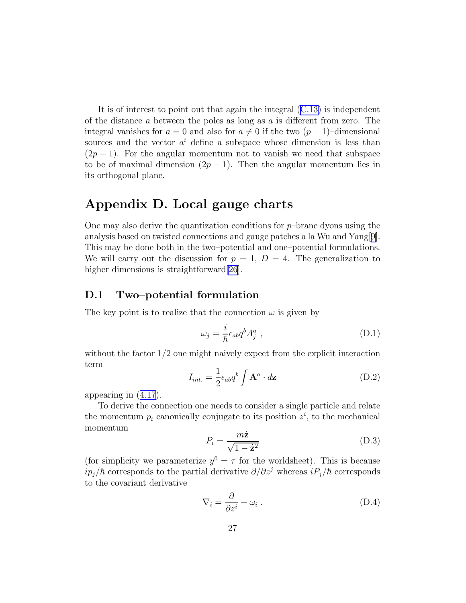<span id="page-27-0"></span>It is of interest to point out that again the integral([C.13](#page-26-0)) is independent of the distance  $a$  between the poles as long as  $a$  is different from zero. The integral vanishes for  $a = 0$  and also for  $a \neq 0$  if the two  $(p - 1)$ –dimensional sources and the vector  $a^i$  define a subspace whose dimension is less than  $(2p-1)$ . For the angular momentum not to vanish we need that subspace to be of maximal dimension  $(2p - 1)$ . Then the angular momentum lies in its orthogonal plane.

## Appendix D. Local gauge charts

One may also derive the quantization conditions for  $p$ –brane dyons using the analysis based on twisted connections and gauge patches a la Wu and Yang[[9](#page-31-0)]. This may be done both in the two–potential and one–potential formulations. We will carry out the discussion for  $p = 1$ ,  $D = 4$ . The generalization to higher dimensions is straightforward [\[26](#page-32-0)].

#### D.1 Two–potential formulation

The key point is to realize that the connection  $\omega$  is given by

$$
\omega_j = \frac{i}{\hbar} \epsilon_{ab} q^b A_j^a \t{,} \t(D.1)
$$

without the factor  $1/2$  one might naively expect from the explicit interaction term

$$
I_{int.} = \frac{1}{2} \epsilon_{ab} q^b \int \mathbf{A}^a \cdot d\mathbf{z}
$$
 (D.2)

appearing in([4.17\)](#page-15-0).

To derive the connection one needs to consider a single particle and relate the momentum  $p_i$  canonically conjugate to its position  $z^i$ , to the mechanical momentum

$$
P_i = \frac{m\dot{\mathbf{z}}}{\sqrt{1 - \dot{\mathbf{z}}^2}}\tag{D.3}
$$

(for simplicity we parameterize  $y^0 = \tau$  for the worldsheet). This is because  $ip_j/\hbar$  corresponds to the partial derivative  $\partial/\partial z^j$  whereas  $iP_j/\hbar$  corresponds to the covariant derivative

$$
\nabla_i = \frac{\partial}{\partial z^i} + \omega_i \,. \tag{D.4}
$$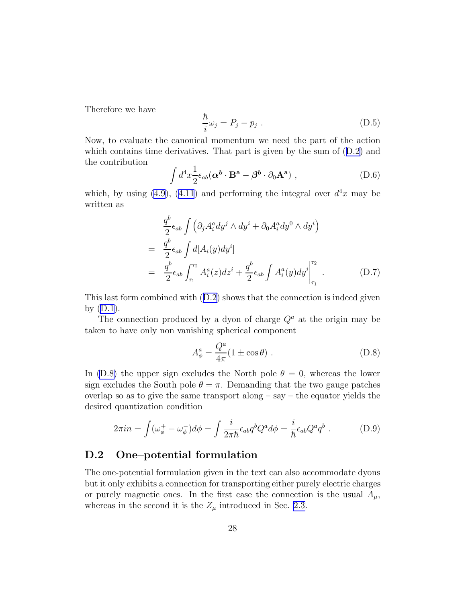Therefore we have

$$
\frac{\hbar}{i}\omega_j = P_j - p_j \tag{D.5}
$$

Now, to evaluate the canonical momentum we need the part of the action whichcontains time derivatives. That part is given by the sum of  $(D.2)$  $(D.2)$  and the contribution

$$
\int d^4x \frac{1}{2} \epsilon_{ab} (\alpha^b \cdot \mathbf{B}^a - \beta^b \cdot \partial_0 \mathbf{A}^a) , \qquad (D.6)
$$

which, by using [\(4.9](#page-13-0)),([4.11](#page-14-0)) and performing the integral over  $d^4x$  may be written as

$$
\frac{q^{b}}{2}\epsilon_{ab}\int \left(\partial_{j}A_{i}^{a}dy^{j}\wedge dy^{i}+\partial_{0}A_{i}^{a}dy^{0}\wedge dy^{i}\right)
$$
\n
$$
=\frac{q^{b}}{2}\epsilon_{ab}\int d[A_{i}(y)dy^{i}]
$$
\n
$$
=\frac{q^{b}}{2}\epsilon_{ab}\int_{\tau_{1}}^{\tau_{2}}A_{i}^{a}(z)dz^{i}+\frac{q^{b}}{2}\epsilon_{ab}\int A_{i}^{a}(y)dy^{i}\Big|_{\tau_{1}}^{\tau_{2}}.
$$
\n(D.7)

This last form combined with([D.2\)](#page-27-0) shows that the connection is indeed given by  $(D.1)$ .

The connection produced by a dyon of charge  $Q^a$  at the origin may be taken to have only non vanishing spherical component

$$
A_{\phi}^{a} = \frac{Q^{a}}{4\pi} (1 \pm \cos \theta) . \tag{D.8}
$$

In (D.8) the upper sign excludes the North pole  $\theta = 0$ , whereas the lower sign excludes the South pole  $\theta = \pi$ . Demanding that the two gauge patches overlap so as to give the same transport along  $-$  say  $-$  the equator yields the desired quantization condition

$$
2\pi i n = \int (\omega_{\phi}^{+} - \omega_{\phi}^{-}) d\phi = \int \frac{i}{2\pi \hbar} \epsilon_{ab} q^{b} Q^{a} d\phi = \frac{i}{\hbar} \epsilon_{ab} Q^{a} q^{b} . \tag{D.9}
$$

#### D.2 One–potential formulation

The one-potential formulation given in the text can also accommodate dyons but it only exhibits a connection for transporting either purely electric charges or purely magnetic ones. In the first case the connection is the usual  $A_\mu$ , whereas in the second it is the  $Z_{\mu}$  introduced in Sec. [2.3.](#page-7-0)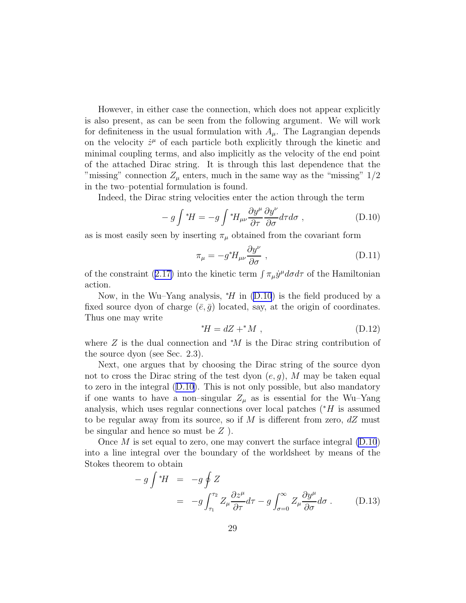<span id="page-29-0"></span>However, in either case the connection, which does not appear explicitly is also present, as can be seen from the following argument. We will work for definiteness in the usual formulation with  $A_\mu$ . The Lagrangian depends on the velocity  $\dot{z}^{\mu}$  of each particle both explicitly through the kinetic and minimal coupling terms, and also implicitly as the velocity of the end point of the attached Dirac string. It is through this last dependence that the "missing" connection  $Z_{\mu}$  enters, much in the same way as the "missing"  $1/2$ in the two–potential formulation is found.

Indeed, the Dirac string velocities enter the action through the term

$$
- g \int {}^*H = - g \int {}^*H_{\mu\nu} \frac{\partial y^{\mu}}{\partial \tau} \frac{\partial y^{\nu}}{\partial \sigma} d\tau d\sigma , \qquad (D.10)
$$

as is most easily seen by inserting  $\pi_{\mu}$  obtained from the covariant form

$$
\pi_{\mu} = -g^* H_{\mu\nu} \frac{\partial y^{\nu}}{\partial \sigma} , \qquad (D.11)
$$

ofthe constraint ([2.17\)](#page-5-0) into the kinetic term  $\int \pi_{\mu} \dot{y}^{\mu} d\sigma d\tau$  of the Hamiltonian action.

Now, in the Wu–Yang analysis,  $*H$  in (D.10) is the field produced by a fixed source dyon of charge  $(\bar{e}, \bar{g})$  located, say, at the origin of coordinates. Thus one may write

$$
^*H = dZ + ^*M , \qquad (D.12)
$$

where  $Z$  is the dual connection and  $*M$  is the Dirac string contribution of the source dyon (see Sec. 2.3).

Next, one argues that by choosing the Dirac string of the source dyon not to cross the Dirac string of the test dyon  $(e, g)$ , M may be taken equal to zero in the integral (D.10). This is not only possible, but also mandatory if one wants to have a non–singular  $Z_{\mu}$  as is essential for the Wu–Yang analysis, which uses regular connections over local patches  $(*H$  is assumed to be regular away from its source, so if M is different from zero,  $dZ$  must be singular and hence so must be  $Z$ ).

Once  $M$  is set equal to zero, one may convert the surface integral  $(D.10)$ into a line integral over the boundary of the worldsheet by means of the Stokes theorem to obtain

$$
- g \int {}^{*}H = -g \oint Z
$$
  
= 
$$
-g \int_{\tau_1}^{\tau_2} Z_{\mu} \frac{\partial z^{\mu}}{\partial \tau} d\tau - g \int_{\sigma=0}^{\infty} Z_{\mu} \frac{\partial y^{\mu}}{\partial \sigma} d\sigma .
$$
 (D.13)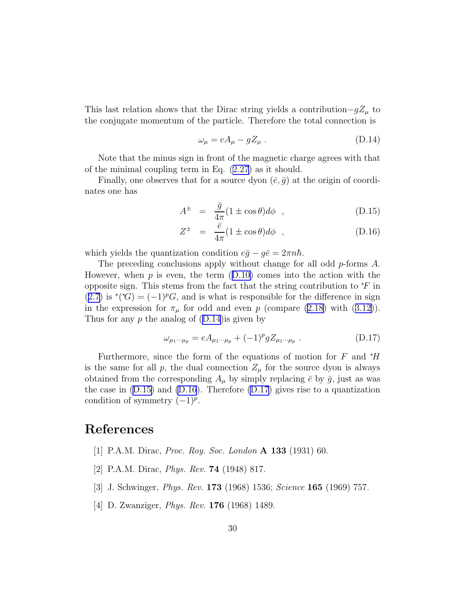<span id="page-30-0"></span>This last relation shows that the Dirac string yields a contribution $-gZ_{\mu}$  to the conjugate momentum of the particle. Therefore the total connection is

$$
\omega_{\mu} = eA_{\mu} - gZ_{\mu} \tag{D.14}
$$

Note that the minus sign in front of the magnetic charge agrees with that of the minimal coupling term in Eq. [\(2.27\)](#page-8-0) as it should.

Finally, one observes that for a source dyon  $(\bar{e}, \bar{q})$  at the origin of coordinates one has

$$
A^{\pm} = \frac{\bar{g}}{4\pi} (1 \pm \cos \theta) d\phi , \qquad (D.15)
$$

$$
Z^{\pm} = \frac{\bar{e}}{4\pi} (1 \pm \cos \theta) d\phi , \qquad (D.16)
$$

which yields the quantization condition  $e\bar{g} - g\bar{e} = 2\pi n\hbar$ .

The preceding conclusions apply without change for all odd p-forms A. However,when  $p$  is even, the term  $(D.10)$  $(D.10)$  comes into the action with the opposite sign. This stems from the fact that the string contribution to  $*F$  in ([2.7\)](#page-3-0) is \*(\*G) =  $(-1)^p G$ , and is what is responsible for the difference in sign inthe expression for  $\pi_{\mu}$  for odd and even p (compare [\(2.18\)](#page-5-0) with ([3.12\)](#page-12-0)). Thus for any  $p$  the analog of  $(D.14)$  is given by

$$
\omega_{\mu_1 \cdots \mu_p} = eA_{\mu_1 \cdots \mu_p} + (-1)^p g Z_{\mu_1 \cdots \mu_p} . \tag{D.17}
$$

Furthermore, since the form of the equations of motion for F and  $*H$ is the same for all p, the dual connection  $Z_{\mu}$  for the source dyon is always obtained from the corresponding  $A_{\mu}$  by simply replacing  $\bar{e}$  by  $\bar{g}$ , just as was the case in  $(D.15)$  and  $(D.16)$ . Therefore  $(D.17)$  gives rise to a quantization condition of symmetry  $(-1)^p$ .

### References

- [1] P.A.M. Dirac, *Proc. Roy. Soc. London* A 133 (1931) 60.
- [2] P.A.M. Dirac, *Phys. Rev.* 74 (1948) 817.
- [3] J. Schwinger, *Phys. Rev.* 173 (1968) 1536; *Science* 165 (1969) 757.
- [4] D. Zwanziger, *Phys. Rev.* 176 (1968) 1489.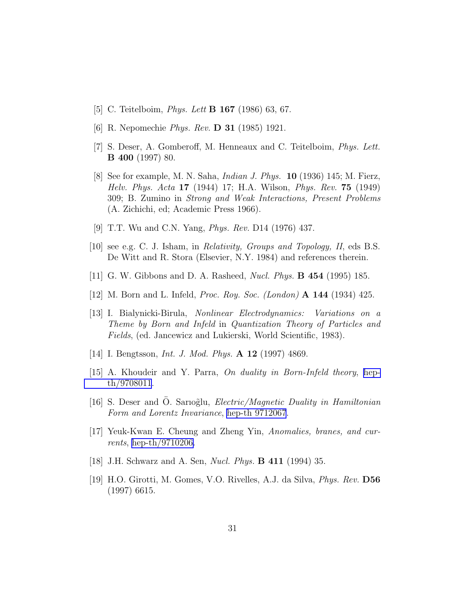- <span id="page-31-0"></span>[5] C. Teitelboim, *Phys. Lett* B 167 (1986) 63, 67.
- [6] R. Nepomechie *Phys. Rev.* D 31 (1985) 1921.
- [7] S. Deser, A. Gomberoff, M. Henneaux and C. Teitelboim, *Phys. Lett.* B 400 (1997) 80.
- [8] See for example, M. N. Saha, *Indian J. Phys.* 10 (1936) 145; M. Fierz, *Helv. Phys. Acta* 17 (1944) 17; H.A. Wilson, *Phys. Rev.* 75 (1949) 309; B. Zumino in *Strong and Weak Interactions, Present Problems* (A. Zichichi, ed; Academic Press 1966).
- [9] T.T. Wu and C.N. Yang, *Phys. Rev.* D14 (1976) 437.
- [10] see e.g. C. J. Isham, in *Relativity, Groups and Topology, II*, eds B.S. De Witt and R. Stora (Elsevier, N.Y. 1984) and references therein.
- [11] G. W. Gibbons and D. A. Rasheed, *Nucl. Phys.* B 454 (1995) 185.
- [12] M. Born and L. Infeld, *Proc. Roy. Soc. (London)* A 144 (1934) 425.
- [13] I. Bialynicki-Birula, *Nonlinear Electrodynamics: Variations on a Theme by Born and Infeld* in *Quantization Theory of Particles and Fields*, (ed. Jancewicz and Lukierski, World Scientific, 1983).
- [14] I. Bengtsson, *Int. J. Mod. Phys.* A 12 (1997) 4869.
- [15] A. Khoudeir and Y. Parra, *On duality in Born-Infeld theory*, [hep](http://arXiv.org/abs/hep-th/9708011)[th/9708011](http://arXiv.org/abs/hep-th/9708011).
- [16] S. Deser and O. Sarioglu, *Electric/Magnetic Duality in Hamiltonian Form and Lorentz Invariance*, [hep-th 9712067](http://arXiv.org/abs/hep-th/9712067).
- [17] Yeuk-Kwan E. Cheung and Zheng Yin, *Anomalies, branes, and currents*, [hep-th/9710206.](http://arXiv.org/abs/hep-th/9710206)
- [18] J.H. Schwarz and A. Sen, *Nucl. Phys.* B 411 (1994) 35.
- [19] H.O. Girotti, M. Gomes, V.O. Rivelles, A.J. da Silva, *Phys. Rev.* D56 (1997) 6615.